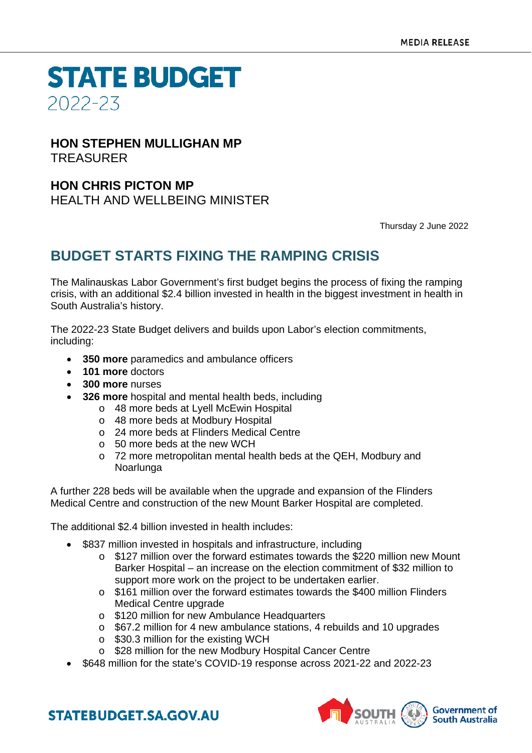**STATE BUDGET** 2022-23

### **HON STEPHEN MULLIGHAN MP** TREASURER

## **HON CHRIS PICTON MP**

HEALTH AND WELLBEING MINISTER

Thursday 2 June 2022

# **BUDGET STARTS FIXING THE RAMPING CRISIS**

The Malinauskas Labor Government's first budget begins the process of fixing the ramping crisis, with an additional \$2.4 billion invested in health in the biggest investment in health in South Australia's history.

The 2022-23 State Budget delivers and builds upon Labor's election commitments, including:

- **350 more** paramedics and ambulance officers
- **101 more** doctors
- **300 more** nurses
- **326 more** hospital and mental health beds, including
	- o 48 more beds at Lyell McEwin Hospital
	- o 48 more beds at Modbury Hospital
	- o 24 more beds at Flinders Medical Centre
	- $\circ$  50 more beds at the new WCH
	- o 72 more metropolitan mental health beds at the QEH, Modbury and Noarlunga

A further 228 beds will be available when the upgrade and expansion of the Flinders Medical Centre and construction of the new Mount Barker Hospital are completed.

The additional \$2.4 billion invested in health includes:

- \$837 million invested in hospitals and infrastructure, including
	- o \$127 million over the forward estimates towards the \$220 million new Mount Barker Hospital – an increase on the election commitment of \$32 million to support more work on the project to be undertaken earlier.
	- o \$161 million over the forward estimates towards the \$400 million Flinders Medical Centre upgrade
	- o \$120 million for new Ambulance Headquarters
	- o \$67.2 million for 4 new ambulance stations, 4 rebuilds and 10 upgrades
	- o \$30.3 million for the existing WCH
	- o \$28 million for the new Modbury Hospital Cancer Centre
	- \$648 million for the state's COVID-19 response across 2021-22 and 2022-23



**STATEBUDGET.SA.GOV.AU**